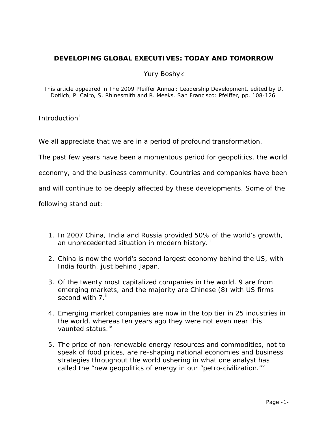# **DEVELOPING GLOBAL EXECUTIVES: TODAY AND TOMORROW**

## Yury Boshyk

*This article appeared in The 2009 Pfeiffer Annual: Leadership Development, edited by D. Dotlich, P. Cairo, S. Rhinesmith and R. Meeks. San Francisco: Pfeiffer, pp. 108-126.* 

Introduct[i](#page-27-0)on<sup>i</sup>

We all appreciate that we are in a period of profound transformation.

The past few years have been a momentous period for geopolitics, the world

economy, and the business community. Countries and companies have been

and will continue to be deeply affected by these developments. Some of the

following stand out:

- 1. In 2007 China, India and Russia provided 50% of the world's growth, an unprecedented situation in modern history.<sup>[ii](#page-28-0)</sup>
- 2. China is now the world's second largest economy behind the US, with India fourth, just behind Japan.
- 3. Of the twenty most capitalized companies in the world, 9 are from emerging markets, and the majority are Chinese (8) with US firms second with 7.<sup>[iii](#page-28-1)</sup>
- 4. Emerging market companies are now in the top tier in 25 industries in the world, whereas ten years ago they were not even near this vaunted status.<sup>[iv](#page-28-2)</sup>
- 5. The price of non-renewable energy resources and commodities, not to speak of food prices, are re-shaping national economies and business strategies throughout the world ushering in what one analyst has called the "new geopolitics of energy in our "petro-ci[v](#page-28-3)ilization." $V$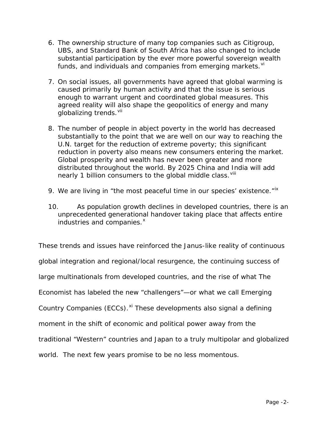- 6. The ownership structure of many top companies such as Citigroup, UBS, and Standard Bank of South Africa has also changed to include substantial participation by the ever more powerful sovereign wealth funds, and indi[vi](#page-28-4)duals and companies from emerging markets. Vi
- 7. On social issues, all governments have agreed that global warming is caused primarily by human activity and that the issue is serious enough to warrant urgent and coordinated global measures. This agreed reality will also shape the geopolitics of energy and many globalizing trends. Vil
- 8. The number of people in abject poverty in the world has decreased substantially to the point that we are well on our way to reaching the U.N. target for the reduction of extreme poverty; this significant reduction in poverty also means new consumers entering the market. Global prosperity and wealth has never been greater and more distributed throughout the world. By 2025 China and India will add nearly 1 billion consumers to the global middle class. Vill
- 9. We are living in "the most peaceful time in our species' existence."<sup>[ix](#page-28-7)</sup>
- 10. As population growth declines in developed countries, there is an unprecedented generational handover taking place that affects entire industries and companies.<sup>[x](#page-28-8)</sup>

These trends and issues have reinforced the Janus-like reality of continuous global integration and regional/local resurgence, the continuing success of large multinationals from developed countries, and the rise of what *The Economist* has labeled the new "challengers"—or what we call Emerging Country Companies (ECCs).<sup>[xi](#page-28-9)</sup> These developments also signal a defining moment in the shift of economic and political power away from the traditional "Western" countries and Japan to a truly multipolar and globalized world. The next few years promise to be no less momentous.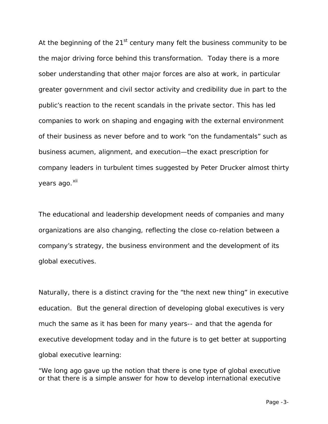At the beginning of the  $21^{st}$  century many felt the business community to be the major driving force behind this transformation. Today there is a more sober understanding that other major forces are also at work, in particular greater government and civil sector activity and credibility due in part to the public's reaction to the recent scandals in the private sector. This has led companies to work on shaping and engaging with the external environment of their business as never before and to work "on the fundamentals" such as business acumen, alignment, and execution—the exact prescription for company leaders in turbulent times suggested by Peter Drucker almost thirty years ago.<sup>[xii](#page-28-10)</sup>

The educational and leadership development needs of companies and many organizations are also changing, reflecting the close co-relation between a company's strategy, the business environment and the development of its global executives.

Naturally, there is a distinct craving for the "the next new thing" in executive education. But the general direction of developing global executives is very much the same as it has been for many years-- and that the agenda for executive development today and in the future is to get better at supporting global executive learning:

"We long ago gave up the notion that there is one type of global executive or that there is a simple answer for how to develop international executive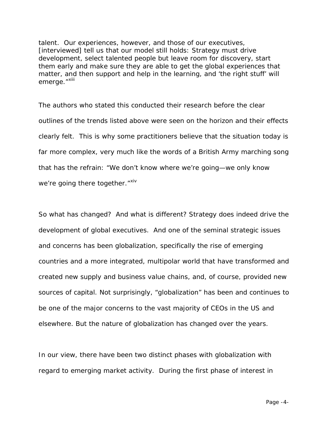talent. Our experiences, however, and those of our executives, [interviewed] tell us that our model still holds: Strategy must drive development, select talented people but leave room for discovery, start them early and make sure they are able to get the global experiences that matter, and then support and help in the learning, and 'the right stuff' will emerge."<sup>[xiii](#page-28-11)</sup>

The authors who stated this conducted their research before the clear outlines of the trends listed above were seen on the horizon and their effects clearly felt. This is why some practitioners believe that the situation today is far more complex, very much like the words of a British Army marching song that has the refrain: "We don't know where we're going—we only know we're going there together."<sup>[xiv](#page-28-12)</sup>

So what has changed? And what is different? Strategy does indeed drive the development of global executives. And one of the seminal strategic issues and concerns has been globalization, specifically the rise of emerging countries and a more integrated, multipolar world that have transformed and created new supply and business value chains, and, of course, provided new sources of capital. Not surprisingly, "globalization" has been and continues to be one of the major concerns to the vast majority of CEOs in the US and elsewhere. But the nature of globalization has changed over the years.

In our view, there have been two distinct phases with globalization with regard to emerging market activity. During the first phase of interest in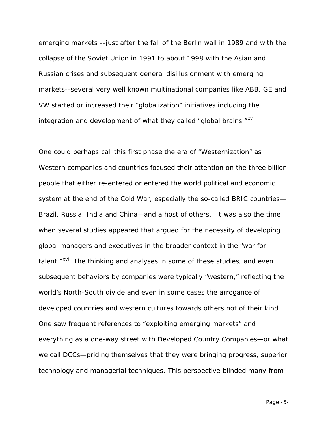emerging markets --just after the fall of the Berlin wall in 1989 and with the collapse of the Soviet Union in 1991 to about 1998 with the Asian and Russian crises and subsequent general disillusionment with emerging markets--several very well known multinational companies like ABB, GE and VW started or increased their "globalization" initiatives including the integration and development of what they called "global brains." $x = x + y$ 

One could perhaps call this first phase the era of "Westernization" as Western companies and countries focused their attention on the three billion people that either re-entered or entered the world political and economic system at the end of the Cold War, especially the so-called BRIC countries— Brazil, Russia, India and China—and a host of others. It was also the time when several studies appeared that argued for the necessity of developing global managers and executives in the broader context in the "war for talent."<sup>xvi</sup> The thinking and analyses in some of these studies, and even subsequent behaviors by companies were typically "western," reflecting the world's North-South divide and even in some cases the arrogance of developed countries and western cultures towards others not of their kind. One saw frequent references to "exploiting emerging markets" and everything as a one-way street with Developed Country Companies—or what we call DCCs—priding themselves that they were bringing progress, superior technology and managerial techniques. This perspective blinded many from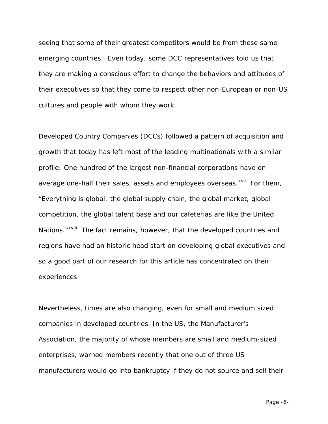seeing that some of their greatest competitors would be from these same emerging countries. Even today, some DCC representatives told us that they are making a conscious effort to change the behaviors and attitudes of their executives so that they come to respect other non-European or non-US cultures and people with whom they work.

Developed Country Companies (DCCs) followed a pattern of acquisition and growth that today has left most of the leading multinationals with a similar profile: One hundred of the largest non-financial corporations have on average one-half their sales, assets and employees overseas.<sup>[xvii](#page-29-2)</sup> For them, Nations."<sup>xviii</sup>The fact remains, however, that the developed countries and "Everything is global: the global supply chain, the global market, global competition, the global talent base and our cafeterias are like the United regions have had an historic head start on developing global executives and so a good part of our research for this article has concentrated on their experiences.

Nevertheless, times are also changing, even for small and medium sized companies in developed countries. In the US, the Manufacturer's Association, the majority of whose members are small and medium-sized enterprises, warned members recently that one out of three US manufacturers would go into bankruptcy if they do not source and sell their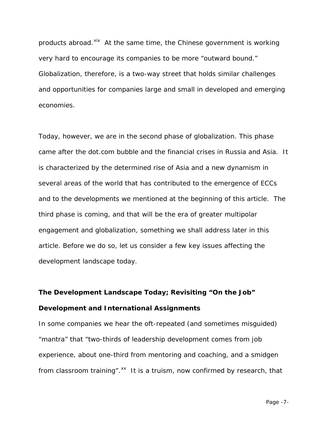products abroad.<sup>xix</sup> At the same time, the Chinese government is working very hard to encourage its companies to be more "outward bound." Globalization, therefore, is a two-way street that holds similar challenges and opportunities for companies large and small in developed and emerging economies.

Today, however, we are in the second phase of globalization. This phase came after the dot.com bubble and the financial crises in Russia and Asia. It is characterized by the determined rise of Asia and a new dynamism in several areas of the world that has contributed to the emergence of ECCs and to the developments we mentioned at the beginning of this article. The third phase is coming, and that will be the era of greater multipolar engagement and globalization, something we shall address later in this article. Before we do so, let us consider a few key issues affecting the development landscape today.

# **The Development Landscape Today; Revisiting "On the Job" Development and International Assignments**

In some companies we hear the oft-repeated (and sometimes misguided) "mantra" that "two-thirds of leadership development comes from job experience, about one-third from mentoring and coaching, and a smidgen from classroom training".<sup>xx</sup> It is a truism, now confirmed by research, that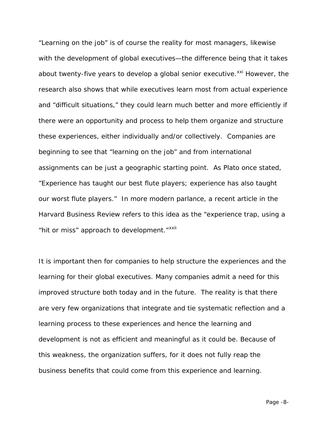"Learning on the job" is of course the reality for most managers, likewise with the development of global executives—the difference being that it takes about twenty-five years to develop a global senior executive.<sup>[xxi](#page-29-6)</sup> However, the research also shows that while executives learn most from actual experience and "difficult situations," they could learn much better and more efficiently if there were an opportunity and process to help them organize and structure these experiences, either individually and/or collectively. Companies are beginning to see that "learning on the job" and from international assignments can be just a geographic starting point. As Plato once stated, "Experience has taught our best flute players; experience has also taught our worst flute players." In more modern parlance, a recent article in the *Harvard Business Review* refers to this idea as the "experience trap, using a "hit or miss" approach to development."<sup>[xxii](#page-29-7)</sup>

It is important then for companies to help structure the experiences and the learning for their global executives. Many companies admit a need for this improved structure both today and in the future. The reality is that there are very few organizations that integrate and tie systematic reflection and a learning process to these experiences and hence the learning and development is not as efficient and meaningful as it could be. Because of this weakness, the organization suffers, for it does not fully reap the business benefits that could come from this experience and learning.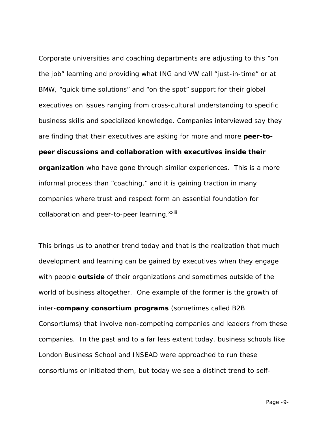Corporate universities and coaching departments are adjusting to this "on the job" learning and providing what ING and VW call "just-in-time" or at BMW, "quick time solutions" and "on the spot" support for their global executives on issues ranging from cross-cultural understanding to specific business skills and specialized knowledge. Companies interviewed say they are finding that their executives are asking for more and more **peer-topeer discussions and collaboration with executives inside their organization** who have gone through similar experiences. This is a more informal process than "coaching," and it is gaining traction in many companies where trust and respect form an essential foundation for collaboration and peer-to-peer learning. xxiii

This brings us to another trend today and that is the realization that much development and learning can be gained by executives when they engage with people **outside** of their organizations and sometimes outside of the world of business altogether. One example of the former is the growth of inter-**company consortium programs** (sometimes called B2B Consortiums) that involve non-competing companies and leaders from these companies. In the past and to a far less extent today, business schools like London Business School and INSEAD were approached to run these consortiums or initiated them, but today we see a distinct trend to self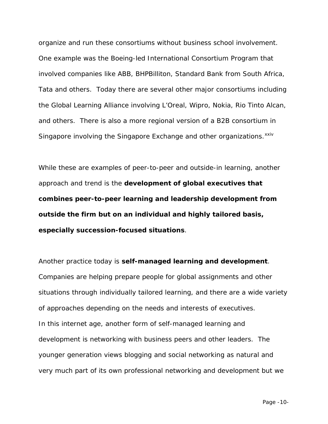organize and run these consortiums without business school involvement. One example was the Boeing-led International Consortium Program that involved companies like ABB, BHPBilliton, Standard Bank from South Africa, Tata and others. Today there are several other major consortiums including the Global Learning Alliance involving L'Oreal, Wipro, Nokia, Rio Tinto Alcan, and others. There is also a more regional version of a B2B consortium in Singapore involving the Singapore Exchange and other organizations.<sup>[xxiv](#page-30-0)</sup>

While these are examples of peer-to-peer and outside-in learning, another approach and trend is the **development of global executives that combines peer-to-peer learning and leadership development from outside the firm but on an individual and highly tailored basis, especially succession-focused situations**.

Another practice today is **self-managed learning and development**. Companies are helping prepare people for global assignments and other situations through individually tailored learning, and there are a wide variety of approaches depending on the needs and interests of executives. In this internet age, another form of self-managed learning and development is networking with business peers and other leaders. The younger generation views blogging and social networking as natural and very much part of its own professional networking and development but we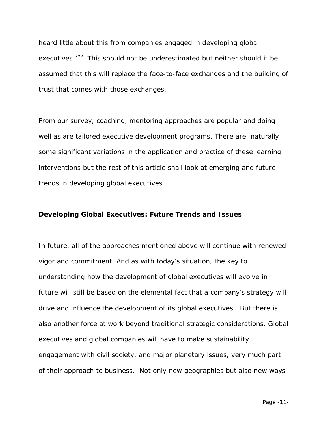heard little about this from companies engaged in developing global executives.<sup>[xxv](#page-30-1)</sup> This should not be underestimated but neither should it be assumed that this will replace the face-to-face exchanges and the building of trust that comes with those exchanges.

From our survey, coaching, mentoring approaches are popular and doing well as are tailored executive development programs. There are, naturally, some significant variations in the application and practice of these learning interventions but the rest of this article shall look at emerging and future trends in developing global executives.

#### **Developing Global Executives: Future Trends and Issues**

In future, all of the approaches mentioned above will continue with renewed vigor and commitment. And as with today's situation, the key to understanding how the development of global executives will evolve in future will still be based on the elemental fact that a company's strategy will drive and influence the development of its global executives. But there is also another force at work beyond traditional strategic considerations. Global executives and global companies will have to make sustainability, engagement with civil society, and major planetary issues, very much part of their approach to business. Not only new geographies but also new ways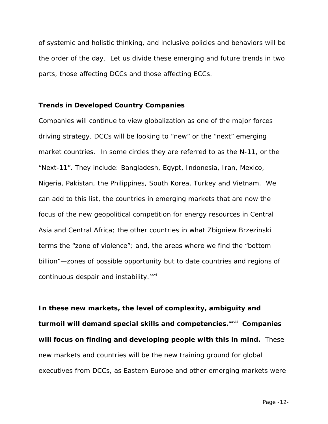of systemic and holistic thinking, and inclusive policies and behaviors will be the order of the day. Let us divide these emerging and future trends in two parts, those affecting DCCs and those affecting ECCs.

## **Trends in Developed Country Companies**

Companies will continue to view globalization as one of the major forces driving strategy. DCCs will be looking to "new" or the "next" emerging market countries. In some circles they are referred to as the N-11, or the "Next-11". They include: Bangladesh, Egypt, Indonesia, Iran, Mexico, Nigeria, Pakistan, the Philippines, South Korea, Turkey and Vietnam. We can add to this list, the countries in emerging markets that are now the focus of the new geopolitical competition for energy resources in Central Asia and Central Africa; the other countries in what Zbigniew Brzezinski terms the "zone of violence"; and, the areas where we find the "bottom billion"—zones of possible opportunity but to date countries and regions of continuous despair and instability. $^{xxvi}$  $^{xxvi}$  $^{xxvi}$ 

**In these new markets, the level of complexity, ambiguity and turmoil will demand special skills and competencies.xxviiCompanies will focus on finding and developing people with this in mind.** These new markets and countries will be the new training ground for global executives from DCCs, as Eastern Europe and other emerging markets were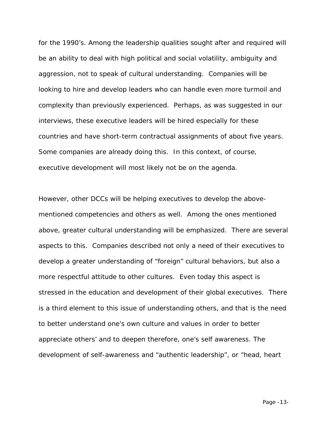for the 1990's. Among the leadership qualities sought after and required will be an ability to deal with high political and social volatility, ambiguity and aggression, not to speak of cultural understanding. Companies will be looking to hire and develop leaders who can handle even more turmoil and complexity than previously experienced. Perhaps, as was suggested in our interviews, these executive leaders will be hired especially for these countries and have short-term contractual assignments of about five years. Some companies are already doing this. In this context, of course, executive development will most likely not be on the agenda.

However, other DCCs will be helping executives to develop the abovementioned competencies and others as well. Among the ones mentioned above, greater cultural understanding will be emphasized. There are several aspects to this. Companies described not only a need of their executives to develop a greater understanding of "foreign" cultural behaviors, but also a more respectful attitude to other cultures. Even today this aspect is stressed in the education and development of their global executives. There is a third element to this issue of understanding others, and that is the need to better understand one's own culture and values in order to better appreciate others' and to deepen therefore, one's self awareness. The development of self-awareness and "authentic leadership", or "head, heart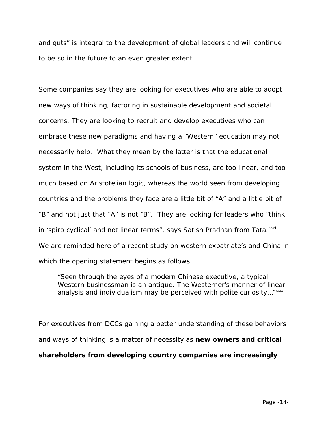and guts" is integral to the development of global leaders and will continue to be so in the future to an even greater extent.

Some companies say they are looking for executives who are able to adopt new ways of thinking, factoring in sustainable development and societal concerns. They are looking to recruit and develop executives who can embrace these new paradigms and having a "Western" education may not necessarily help. What they mean by the latter is that the educational system in the West, including its schools of business, are too linear, and too much based on Aristotelian logic, whereas the world seen from developing countries and the problems they face are a little bit of "A" and a little bit of "B" and not just that "A" is not "B". They are looking for leaders who "think in'spiro cyclical' and not linear terms", says Satish Pradhan from Tata.<sup>xxviii</sup> We are reminded here of a recent study on western expatriate's and China in which the opening statement begins as follows:

"Seen through the eyes of a modern Chinese executive, a typical Western businessman is an antique. The Westerner's manner of linear analysis and individualism may be perceived with polite curiosity..." $^{xxxx}$ 

For executives from DCCs gaining a better understanding of these behaviors and ways of thinking is a matter of necessity as **new owners and critical shareholders from developing country companies are increasingly**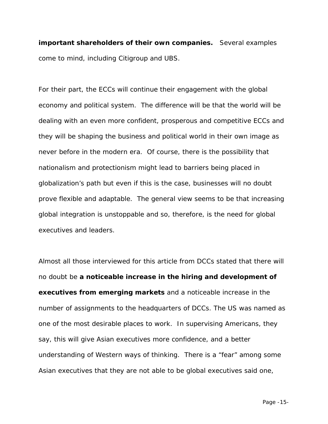**important shareholders of their own companies.** Several examples come to mind, including Citigroup and UBS.

For their part, the ECCs will continue their engagement with the global economy and political system. The difference will be that the world will be dealing with an even more confident, prosperous and competitive ECCs and they will be shaping the business and political world in their own image as never before in the modern era. Of course, there is the possibility that nationalism and protectionism might lead to barriers being placed in globalization's path but even if this is the case, businesses will no doubt prove flexible and adaptable. The general view seems to be that increasing global integration is unstoppable and so, therefore, is the need for global executives and leaders.

Almost all those interviewed for this article from DCCs stated that there will no doubt be **a noticeable increase in the hiring and development of executives from emerging markets** and a noticeable increase in the number of assignments to the headquarters of DCCs. The US was named as one of the most desirable places to work. In supervising Americans, they say, this will give Asian executives more confidence, and a better understanding of Western ways of thinking. There is a "fear" among some Asian executives that they are not able to be global executives said one,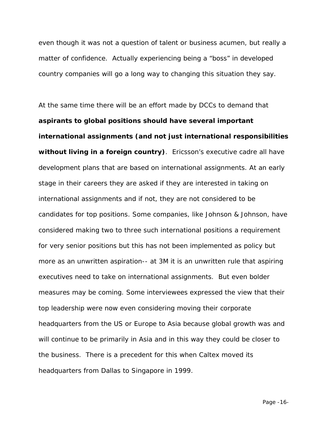even though it was not a question of talent or business acumen, but really a matter of confidence. Actually experiencing being a "boss" in developed country companies will go a long way to changing this situation they say.

At the same time there will be an effort made by DCCs to demand that **aspirants to global positions should have several important international assignments (and not just international responsibilities without living in a foreign country)**. Ericsson's executive cadre all have development plans that are based on international assignments. At an early stage in their careers they are asked if they are interested in taking on international assignments and if not, they are not considered to be candidates for top positions. Some companies, like Johnson & Johnson, have considered making two to three such international positions a requirement for very senior positions but this has not been implemented as policy but more as an unwritten aspiration-- at 3M it is an unwritten rule that aspiring executives need to take on international assignments. But even bolder measures may be coming. Some interviewees expressed the view that their top leadership were now even considering moving their corporate headquarters from the US or Europe to Asia because global growth was and will continue to be primarily in Asia and in this way they could be closer to the business. There is a precedent for this when Caltex moved its headquarters from Dallas to Singapore in 1999.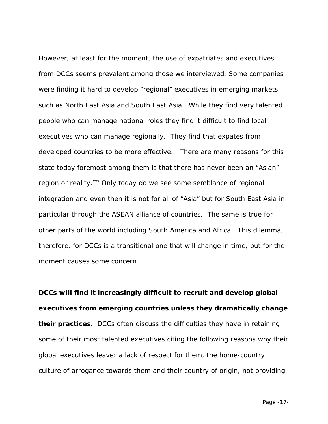However, at least for the moment, the use of expatriates and executives from DCCs seems prevalent among those we interviewed. Some companies were finding it hard to develop "regional" executives in emerging markets such as North East Asia and South East Asia. While they find very talented people who can manage national roles they find it difficult to find local executives who can manage regionally. They find that expates from developed countries to be more effective. There are many reasons for this state today foremost among them is that there has never been an "Asian" region or reality.<sup>[xxx](#page-30-6)</sup> Only today do we see some semblance of regional integration and even then it is not for all of "Asia" but for South East Asia in particular through the ASEAN alliance of countries. The same is true for other parts of the world including South America and Africa. This dilemma, therefore, for DCCs is a transitional one that will change in time, but for the moment causes some concern.

**DCCs will find it increasingly difficult to recruit and develop global executives from emerging countries unless they dramatically change their practices.** DCCs often discuss the difficulties they have in retaining some of their most talented executives citing the following reasons why their global executives leave: a lack of respect for them, the home-country culture of arrogance towards them and their country of origin, not providing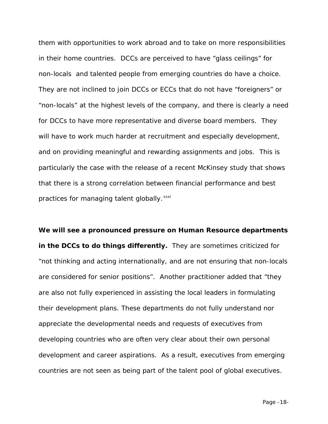them with opportunities to work abroad and to take on more responsibilities in their home countries. DCCs are perceived to have "glass ceilings" for non-locals and talented people from emerging countries do have a choice. They are not inclined to join DCCs or ECCs that do not have "foreigners" or "non-locals" at the highest levels of the company, and there is clearly a need for DCCs to have more representative and diverse board members. They will have to work much harder at recruitment and especially development, and on providing meaningful and rewarding assignments and jobs. This is particularly the case with the release of a recent McKinsey study that shows that there is a strong correlation between financial performance and best practices for managing talent globally.<sup>[xxxi](#page-30-7)</sup>

**We will see a pronounced pressure on Human Resource departments in the DCCs to do things differently.** They are sometimes criticized for "not thinking and acting internationally, and are not ensuring that non-locals are considered for senior positions". Another practitioner added that "they are also not fully experienced in assisting the local leaders in formulating their development plans. These departments do not fully understand nor appreciate the developmental needs and requests of executives from developing countries who are often very clear about their own personal development and career aspirations. As a result, executives from emerging countries are not seen as being part of the talent pool of global executives.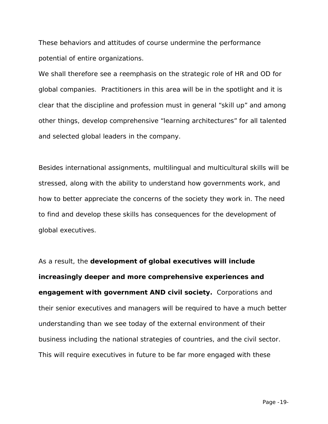These behaviors and attitudes of course undermine the performance potential of entire organizations.

We shall therefore see a reemphasis on the strategic role of HR and OD for global companies. Practitioners in this area will be in the spotlight and it is clear that the discipline and profession must in general "skill up" and among other things, develop comprehensive "learning architectures" for all talented and selected global leaders in the company.

Besides international assignments, multilingual and multicultural skills will be stressed, along with the ability to understand how governments work, and how to better appreciate the concerns of the society they work in. The need to find and develop these skills has consequences for the development of global executives.

As a result, the **development of global executives will include increasingly deeper and more comprehensive experiences and engagement with government AND civil society.** Corporations and their senior executives and managers will be required to have a much better understanding than we see today of the external environment of their business including the national strategies of countries, and the civil sector. This will require executives in future to be far more engaged with these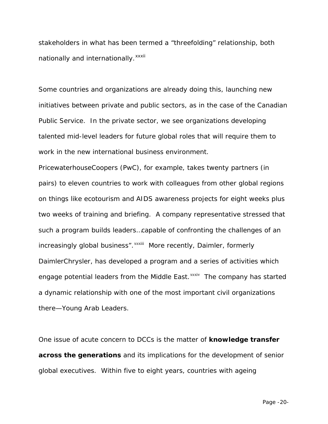stakeholders in what has been termed a "threefolding" relationship, both nat[i](#page-30-8)onally and internationally. xxxii

Some countries and organizations are already doing this, launching new initiatives between private and public sectors, as in the case of the Canadian Public Service. In the private sector, we see organizations developing talented mid-level leaders for future global roles that will require them to work in the new international business environment.

PricewaterhouseCoopers (PwC), for example, takes twenty partners (in pairs) to eleven countries to work with colleagues from other global regions on things like ecotourism and AIDS awareness projects for eight weeks plus two weeks of training and briefing. A company representative stressed that such a program builds leaders…capable of confronting the challenges of an increasingly global business". XXXIII [M](#page-30-9)ore recently, Daimler, formerly engage potential leaders from the Middle East.<sup>xxxiv</sup> [T](#page-30-10)he company has started DaimlerChrysler, has developed a program and a series of activities which a dynamic relationship with one of the most important civil organizations there—Young Arab Leaders.

One issue of acute concern to DCCs is the matter of **knowledge transfer across the generations** and its implications for the development of senior global executives. Within five to eight years, countries with ageing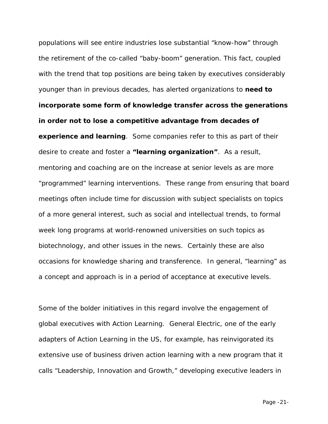populations will see entire industries lose substantial "know-how" through the retirement of the co-called "baby-boom" generation. This fact, coupled with the trend that top positions are being taken by executives considerably younger than in previous decades, has alerted organizations to **need to incorporate some form of knowledge transfer across the generations in order not to lose a competitive advantage from decades of experience and learning**. Some companies refer to this as part of their desire to create and foster a **"learning organization"**. As a result, mentoring and coaching are on the increase at senior levels as are more "programmed" learning interventions. These range from ensuring that board meetings often include time for discussion with subject specialists on topics of a more general interest, such as social and intellectual trends, to formal week long programs at world-renowned universities on such topics as biotechnology, and other issues in the news. Certainly these are also occasions for knowledge sharing and transference. In general, "learning" as a concept and approach is in a period of acceptance at executive levels.

Some of the bolder initiatives in this regard involve the engagement of global executives with Action Learning. General Electric, one of the early adapters of Action Learning in the US, for example, has reinvigorated its extensive use of business driven action learning with a new program that it calls "Leadership, Innovation and Growth," developing executive leaders in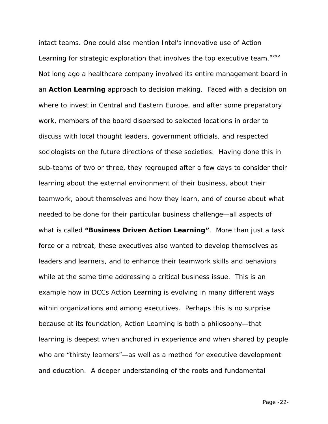intact teams. One could also mention Intel's innovative use of Action Learning for strategic exploration that involves the top executive team.<sup>[xxxv](#page-30-11)</sup> Not long ago a healthcare company involved its entire management board in an **Action Learning** approach to decision making. Faced with a decision on where to invest in Central and Eastern Europe, and after some preparatory work, members of the board dispersed to selected locations in order to discuss with local thought leaders, government officials, and respected sociologists on the future directions of these societies. Having done this in sub-teams of two or three, they regrouped after a few days to consider their learning about the external environment of their business, about their teamwork, about themselves and how they learn, and of course about what needed to be done for their particular business challenge—all aspects of what is called **"Business Driven Action Learning"**. More than just a task force or a retreat, these executives also wanted to develop themselves as leaders and learners, and to enhance their teamwork skills and behaviors while at the same time addressing a critical business issue. This is an example how in DCCs Action Learning is evolving in many different ways within organizations and among executives. Perhaps this is no surprise because at its foundation, Action Learning is both a philosophy—that learning is deepest when anchored in experience and when shared by people who are "thirsty learners"—as well as a method for executive development and education. A deeper understanding of the roots and fundamental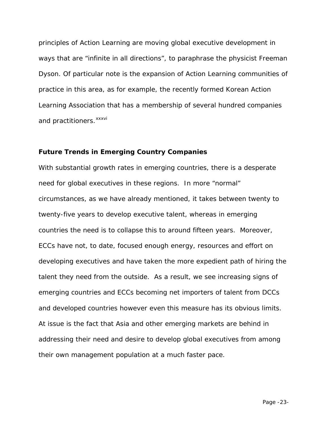principles of Action Learning are moving global executive development in ways that are "infinite in all directions", to paraphrase the physicist Freeman Dyson. Of particular note is the expansion of Action Learning communities of practice in this area, as for example, the recently formed Korean Action Learning Association that has a membership of several hundred companies and pract[i](#page-31-0)tioners.<sup>xxxvi</sup>

#### **Future Trends in Emerging Country Companies**

With substantial growth rates in emerging countries, there is a desperate need for global executives in these regions. In more "normal" circumstances, as we have already mentioned, it takes between twenty to twenty-five years to develop executive talent, whereas in emerging countries the need is to collapse this to around fifteen years. Moreover, ECCs have not, to date, focused enough energy, resources and effort on developing executives and have taken the more expedient path of hiring the talent they need from the outside. As a result, we see increasing signs of emerging countries and ECCs becoming net importers of talent from DCCs and developed countries however even this measure has its obvious limits. At issue is the fact that Asia and other emerging markets are behind in addressing their need and desire to develop global executives from among their own management population at a much faster pace.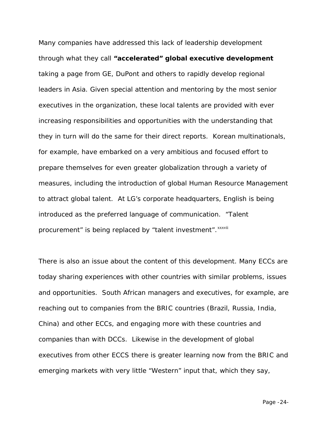Many companies have addressed this lack of leadership development through what they call **"accelerated" global executive development** taking a page from GE, DuPont and others to rapidly develop regional leaders in Asia. Given special attention and mentoring by the most senior executives in the organization, these local talents are provided with ever increasing responsibilities and opportunities with the understanding that they in turn will do the same for their direct reports. Korean multinationals, for example, have embarked on a very ambitious and focused effort to prepare themselves for even greater globalization through a variety of measures, including the introduction of global Human Resource Management to attract global talent. At LG's corporate headquarters, English is being introduced as the preferred language of communication. "Talent procurement" [i](#page-31-1)s being replaced by "talent investment". *xxxvii* 

There is also an issue about the content of this development. Many ECCs are today sharing experiences with other countries with similar problems, issues and opportunities. South African managers and executives, for example, are reaching out to companies from the BRIC countries (Brazil, Russia, India, China) and other ECCs, and engaging more with these countries and companies than with DCCs. Likewise in the development of global executives from other ECCS there is greater learning now from the BRIC and emerging markets with very little "Western" input that, which they say,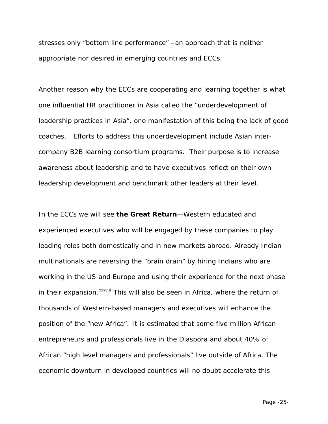stresses only "bottom line performance" –an approach that is neither appropriate nor desired in emerging countries and ECCs.

Another reason why the ECCs are cooperating and learning together is what one influential HR practitioner in Asia called the "underdevelopment of leadership practices in Asia", one manifestation of this being the lack of good coaches. Efforts to address this underdevelopment include Asian intercompany B2B learning consortium programs. Their purpose is to increase awareness about leadership and to have executives reflect on their own leadership development and benchmark other leaders at their level.

In the ECCs we will see **the Great Return**—Western educated and experienced executives who will be engaged by these companies to play leading roles both domestically and in new markets abroad. Already Indian multinationals are reversing the "brain drain" by hiring Indians who are working in the US and Europe and using their experience for the next phase in their expansion.<sup>xxxviii</sup> [T](#page-31-2)his will also be seen in Africa, where the return of thousands of Western-based managers and executives will enhance the position of the "new Africa": It is estimated that some five million African entrepreneurs and professionals live in the Diaspora and about 40% of African "high level managers and professionals" live outside of Africa. The economic downturn in developed countries will no doubt accelerate this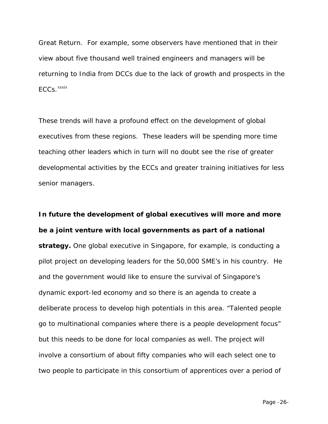Great Return. For example, some observers have mentioned that in their view about five thousand well trained engineers and managers will be returning to India from DCCs due to the lack of growth and prospects in the  $ECCs.$ <sup>xxxix</sup>

These trends will have a profound effect on the development of global executives from these regions. These leaders will be spending more time teaching other leaders which in turn will no doubt see the rise of greater developmental activities by the ECCs and greater training initiatives for less senior managers.

**In future the development of global executives will more and more be a joint venture with local governments as part of a national strategy.** One global executive in Singapore, for example, is conducting a pilot project on developing leaders for the 50,000 SME's in his country. He and the government would like to ensure the survival of Singapore's dynamic export-led economy and so there is an agenda to create a deliberate process to develop high potentials in this area. "Talented people go to multinational companies where there is a people development focus" but this needs to be done for local companies as well. The project will involve a consortium of about fifty companies who will each select one to two people to participate in this consortium of apprentices over a period of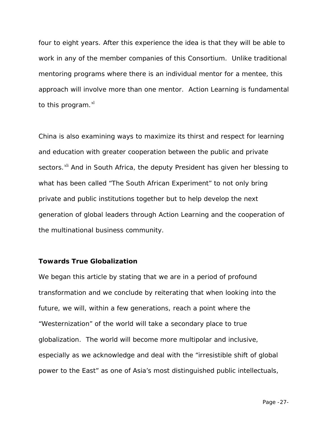four to eight years. After this experience the idea is that they will be able to work in any of the member companies of this Consortium. Unlike traditional mentoring programs where there is an individual mentor for a mentee, this approach will involve more than one mentor. Action Learning is fundamental to this program. $x<sup>1</sup>$ 

China is also examining ways to maximize its thirst and respect for learning and education with greater cooperation between the public and private sectors.<sup>[xli](#page-31-4)</sup> And in South Africa, the deputy President has given her blessing to what has been called "The South African Experiment" to not only bring private and public institutions together but to help develop the next generation of global leaders through Action Learning and the cooperation of the multinational business community.

### **Towards True Globalization**

We began this article by stating that we are in a period of profound transformation and we conclude by reiterating that when looking into the future, we will, within a few generations, reach a point where the "Westernization" of the world will take a secondary place to true globalization. The world will become more multipolar and inclusive, especially as we acknowledge and deal with the "irresistible shift of global power to the East" as one of Asia's most distinguished public intellectuals,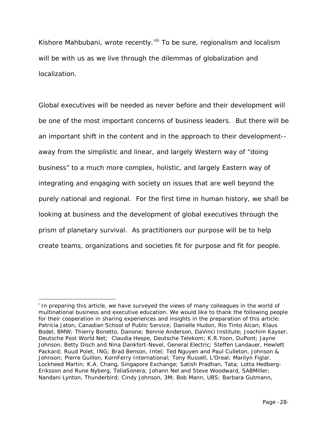Kishore Mahbubani, wrote recently.<sup>[xlii](#page-31-5)</sup> To be sure, regionalism and localism will be with us as we live through the dilemmas of globalization *and* localization.

Global executives will be needed as never before and their development will be one of the most important concerns of business leaders. But there will be an important shift in the content and in the approach to their development- away from the simplistic and linear, and largely Western way of "doing business" to a much more complex, holistic, and largely Eastern way of integrating and engaging with society on issues that are well beyond the purely national and regional. For the first time in human history, we shall be looking at business and the development of global executives through the prism of planetary survival. As practitioners our purpose will be to help create teams, organizations and societies fit for purpose and fit for people.

 $\overline{a}$ 

<span id="page-27-0"></span><sup>&</sup>lt;sup>i</sup> In preparing this article, we have surveyed the views of many colleagues in the world of multinational business and executive education. We would like to thank the following people for their cooperation in sharing experiences and insights in the preparation of this article: Patricia Jaton, Canadian School of Public Service; Danielle Hudon, Rio Tinto Alcan; Klaus Bodel, BMW; Thierry Bonetto, Danone; Bennie Anderson, DaVinci Institute; Joachim Kayser, Deutsche Post World Net; Claudia Hespe, Deutsche Telekom; K.R.Yoon, DuPont; Jayne Johnson, Betty Disch and Nina Dankfort-Nevel, General Electric; Steffen Landauer, Hewlett Packard; Ruud Polet, ING; Brad Benson, Intel; Ted Nguyen and Paul Culleton, Johnson & Johnson; Pierre Guillon, KornFerry International; Tony Russell, L'Oreal; Marilyn Figlar, Lockheed Martin; K.A. Chang, Singapore Exchange; Satish Pradhan, Tata; Lotta Hedberg-Eriksson and Rune Nyberg, TeliaSonera; Johann Nel and Steve Woodward, SABMiller; Nandani Lynton, Thunderbird; Cindy Johnson, 3M; Bob Mann, UBS; Barbara Gutmann,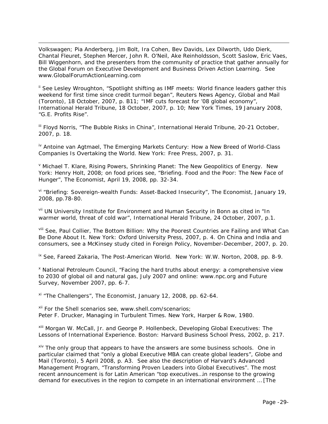Volkswagen; Pia Anderberg, Jim Bolt, Ira Cohen, Bev Davids, Lex Dilworth, Udo Dierk, Chantal Fleuret, Stephen Mercer, John R. O'Neil, Ake Reinholdsson, Scott Saslow, Eric Vaes, Bill Wiggenhorn, and the presenters from the community of practice that gather annually for the Global Forum on Executive Development and Business Driven Action Learning. See www.GlobalForumActionLearning.com

 $\overline{a}$ 

<span id="page-28-0"></span><sup>ii</sup> See Lesley Wroughton, "Spotlight shifting as IMF meets: World finance leaders gather this weekend for first time since credit turmoil began", Reuters News Agency, Global and Mail (Toronto), 18 October, 2007, p. B11; "IMF cuts forecast for '08 global economy", International Herald Tribune, 18 October, 2007, p. 10; New York Times, 19 January 2008, "G.E. Profits Rise".

<span id="page-28-1"></span><sup>iii</sup> Floyd Norris, "The Bubble Risks in China", International Herald Tribune, 20-21 October, 2007, p. 18.

<span id="page-28-2"></span>iv Antoine van Agtmael, The Emerging Markets Century: How a New Breed of World-Class Companies Is Overtaking the World. New York: Free Press, 2007, p. 31.

<span id="page-28-3"></span><sup>v</sup> Michael T. Klare, Rising Powers, Shrinking Planet: The New Geopolitics of Energy. New York: Henry Holt, 2008; on food prices see, "Briefing. Food and the Poor: The New Face of Hunger", The Economist, April 19, 2008, pp. 32-34.

<span id="page-28-4"></span>vi "Briefing: Sovereign-wealth Funds: Asset-Backed Insecurity", The Economist, January 19, 2008, pp.78-80.

<span id="page-28-5"></span>vii UN University Institute for Environment and Human Security in Bonn as cited in "In warmer world, threat of cold war", International Herald Tribune, 24 October, 2007, p.1.

<span id="page-28-6"></span>vill See, Paul Collier, The Bottom Billion: Why the Poorest Countries are Failing and What Can Be Done About It. New York: Oxford University Press, 2007, p. 4. On China and India and consumers, see a McKinsey study cited in Foreign Policy, November-December, 2007, p. 20.

<span id="page-28-7"></span><sup>ix</sup> See, Fareed Zakaria, The Post-American World. New York: W.W. Norton, 2008, pp. 8-9.

<span id="page-28-8"></span><sup>x</sup> National Petroleum Council, "Facing the hard truths about energy: a comprehensive view to 2030 of global oil and natural gas, July 2007 and online: www.npc.org and Future Survey, November 2007, pp. 6-7.

<span id="page-28-9"></span> $x$ <sup>i</sup> "The Challengers", The Economist, January 12, 2008, pp. 62-64.

<span id="page-28-10"></span>xii For the Shell scenarios see, www.shell.com/scenarios; Peter F. Drucker, Managing in Turbulent Times. New York, Harper & Row, 1980.

<span id="page-28-11"></span>xiii Morgan W. McCall, Jr. and George P. Hollenbeck, Developing Global Executives: The Lessons of International Experience. Boston: Harvard Business School Press, 2002, p. 217.

<span id="page-28-12"></span>xiv The only group that appears to have the answers are some business schools. One in particular claimed that "only a global Executive MBA can create global leaders", Globe and Mail (Toronto), 5 April 2008, p. A3. See also the description of Harvard's Advanced Management Program, "Transforming Proven Leaders into Global Executives". The most recent announcement is for Latin American "top executives…in response to the growing demand for executives in the region to compete in an international environment … [The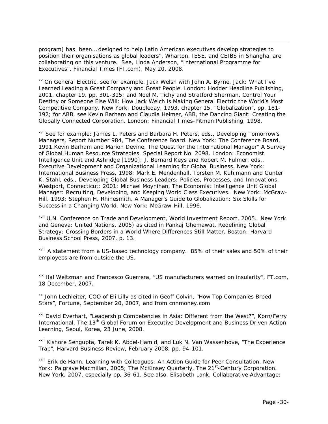program] has been… designed to help Latin American executives develop strategies to position their organisations as global leaders". Wharton, IESE, and CEIBS in Shanghai are collaborating on this venture. See, Linda Anderson, "International Programme for Executives", Financial Times (FT.com), May 20, 2008.

 $\overline{a}$ 

<span id="page-29-0"></span>xv On General Electric, see for example, Jack Welsh with John A. Byrne, Jack: What I've Learned Leading a Great Company and Great People. London: Hodder Headline Publishing, 2001, chapter 19, pp. 301-315; and Noel M. Tichy and Stratford Sherman, Control Your Destiny or Someone Else Will: How Jack Welch is Making General Electric the World's Most Competitive Company. New York: Doubleday, 1993, chapter 15, "Globalization", pp. 181- 192; for ABB, see Kevin Barham and Claudia Heimer, ABB, the Dancing Giant: Creating the Globally Connected Corporation. London: Financial Times-Pitman Publishing, 1998.

<span id="page-29-1"></span>xvi See for example: James L. Peters and Barbara H. Peters, eds., Developing Tomorrow's Managers, Report Number 984, The Conference Board. New York: The Conference Board, 1991.Kevin Barham and Marion Devine, The Quest for the International Manager" A Survey of Global Human Resource Strategies. Special Report No. 2098. London: Economist Intelligence Unit and Ashridge [1990]; J. Bernard Keys and Robert M. Fulmer, eds., Executive Development and Organizational Learning for Global Business. New York: International Business Press, 1998; Mark E. Mendenhall, Torsten M. Kuhlmann and Gunter K. Stahl, eds., Developing Global Business Leaders: Policies, Processes, and Innovations. Westport, Connecticut: 2001; Michael Moynihan, The Economist Intelligence Unit Global Manager: Recruiting, Developing, and Keeping World Class Executives. New York: McGraw-Hill, 1993; Stephen H. Rhinesmith, A Manager's Guide to Globalization: Six Skills for Success in a Changing World. New York: McGraw-Hill, 1996.

<span id="page-29-2"></span>xvii U.N. Conference on Trade and Development, World Investment Report, 2005. New York and Geneva: United Nations, 2005) as cited in Pankaj Ghemawat, Redefining Global Strategy: Crossing Borders in a World Where Differences Still Matter. Boston: Harvard Business School Press, 2007, p. 13.

<span id="page-29-3"></span>xvill A statement from a US-based technology company. 85% of their sales and 50% of their employees are from outside the US.

<span id="page-29-4"></span>xix Hal Weitzman and Francesco Guerrera, "US manufacturers warned on insularity", FT.com, 18 December, 2007.

<span id="page-29-5"></span>xx John Lechleiter, COO of Eli Lilly as cited in Geoff Colvin, "How Top Companies Breed Stars", Fortune, September 20, 2007, and from cnnmoney.com

<span id="page-29-6"></span><sup>xxi</sup> David Everhart, "Leadership Competencies in Asia: Different from the West?", Korn/Ferry International, The 13<sup>th</sup> Global Forum on Executive Development and Business Driven Action Learning, Seoul, Korea, 23 June, 2008.

<span id="page-29-7"></span>xxii Kishore Sengupta, Tarek K. Abdel-Hamid, and Luk N. Van Wassenhove, "The Experience Trap", Harvard Business Review, February 2008, pp. 94-101.

xxiii Erik de Hann, Learning with Colleagues: An Action Guide for Peer Consultation. New York: Palgrave Macmillan, 2005; The McKinsey Quarterly, The 21<sup>st</sup>-Century Corporation. New York, 2007, especially pp, 36-61. See also, Elisabeth Lank, Collaborative Advantage: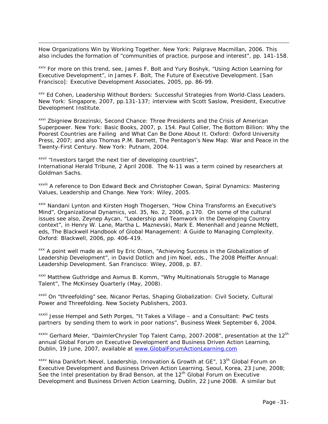How Organizations Win by Working Together. New York: Palgrave Macmillan, 2006. This also includes the formation of "communities of practice, purpose and interest", pp. 141-158.

 $\overline{a}$ 

<span id="page-30-0"></span>xxiv For more on this trend, see, James F. Bolt and Yury Boshyk, "Using Action Learning for Executive Development", in James F. Bolt, The Future of Executive Development. [San Francisco]: Executive Development Associates, 2005, pp. 86-99.

<span id="page-30-1"></span>xxv Ed Cohen, Leadership Without Borders: Successful Strategies from World-Class Leaders. New York: Singapore, 2007, pp.131-137; interview with Scott Saslow, President, Executive Development Institute.

<span id="page-30-2"></span>xxvi Zbigniew Brzezinski, Second Chance: Three Presidents and the Crisis of American Superpower. New York: Basic Books, 2007, p. 154. Paul Collier, The Bottom Billion: Why the Poorest Countries are Failing and What Can Be Done About It. Oxford: Oxford University Press, 2007; and also Thomas P.M. Barnett, The Pentagon's New Map: War and Peace in the Twenty-First Century. New York: Putnam, 2004.

<span id="page-30-3"></span>xxvii "Investors target the next tier of developing countries", International Herald Tribune, 2 April 2008. The N-11 was a term coined by researchers at Goldman Sachs.

<span id="page-30-4"></span>xxviii A reference to Don Edward Beck and Christopher Cowan, Spiral Dynamics: Mastering Values, Leadership and Change. New York: Wiley, 2005.

<span id="page-30-5"></span>xxix Nandani Lynton and Kirsten Hogh Thogersen, "How China Transforms an Executive's Mind", Organizational Dynamics, vol. 35, No. 2, 2006, p.170. On some of the cultural issues see also, Zeynep Aycan, "Leadership and Teamwork in the Developing Country context", in Henry W. Lane, Martha L. Maznevski, Mark E. Menenhall and Jeanne McNett, eds, The Blackwell Handbook of Global Management: A Guide to Managing Complexity. Oxford: Blackwell, 2006, pp. 406-419.

<span id="page-30-6"></span>xxx A point well made as well by Eric Olson, "Achieving Success in the Globalization of Leadership Development", in David Dotlich and Jim Noel, eds., The 2008 Pfeiffer Annual: Leadership Development. San Francisco: Wiley, 2008, p. 87.

<span id="page-30-7"></span>xxxi Matthew Guthridge and Asmus B. Komm, "Why Multinationals Struggle to Manage Talent", The McKinsey Quarterly (May, 2008).

<span id="page-30-8"></span>xxxii On "threefolding" see, Nicanor Perlas, Shaping Globalization: Civil Society, Cultural Power and Threefolding. New Society Publishers, 2003.

<span id="page-30-9"></span>xxxiii Jesse Hempel and Seth Porges, "It Takes a Village – and a Consultant: PwC tests partners by sending them to work in poor nations", Business Week September 6, 2004.

<span id="page-30-10"></span> $xxxiv$  Gerhard Meier, "DaimlerChrysler Top Talent Camp, 2007-2008", presentation at the 12<sup>th</sup> annual Global Forum on Executive Development and Business Driven Action Learning, Dublin, 19 June, 2007, available at [www.GlobalForumActionLearning.com](http://www.globalforumactionlearning.com/)

<span id="page-30-11"></span> $xxxv$  Nina Dankfort-Nevel, Leadership, Innovation & Growth at GE", 13<sup>th</sup> Global Forum on Executive Development and Business Driven Action Learning, Seoul, Korea, 23 June, 2008; See the Intel presentation by Brad Benson, at the  $12<sup>th</sup>$  Global Forum on Executive Development and Business Driven Action Learning, Dublin, 22 June 2008. A similar but